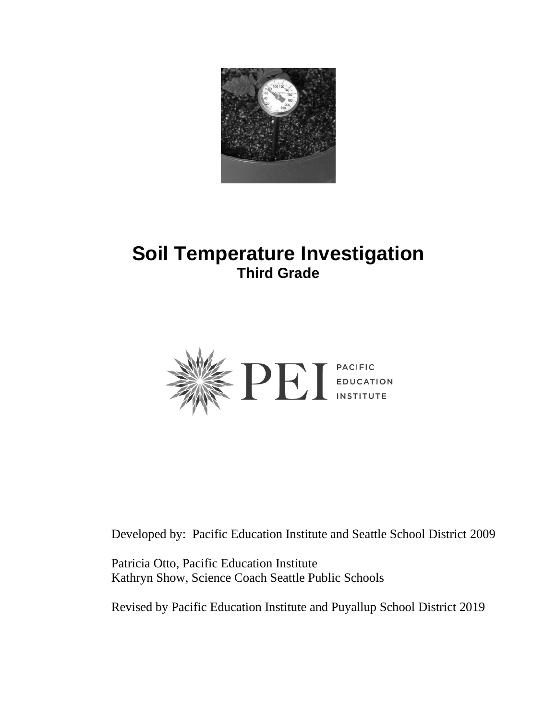

# **Soil Temperature Investigation Third Grade**



Developed by: Pacific Education Institute and Seattle School District 2009

Patricia Otto, Pacific Education Institute Kathryn Show, Science Coach Seattle Public Schools

Revised by Pacific Education Institute and Puyallup School District 2019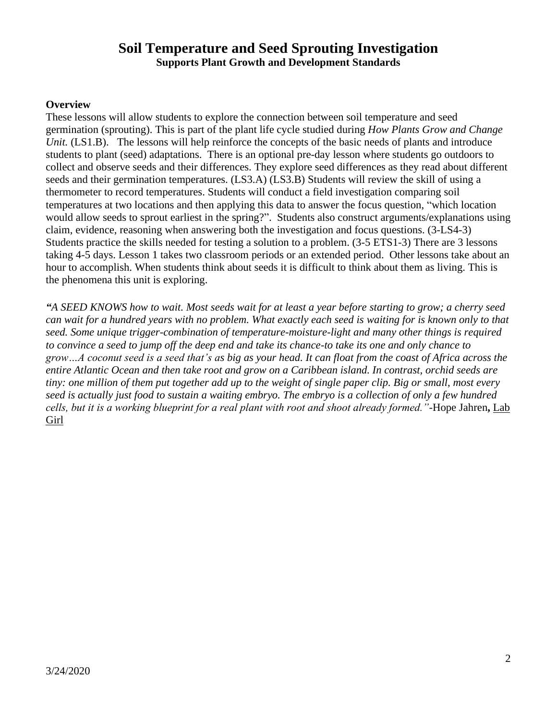#### **Soil Temperature and Seed Sprouting Investigation Supports Plant Growth and Development Standards**

#### **Overview**

These lessons will allow students to explore the connection between soil temperature and seed germination (sprouting). This is part of the plant life cycle studied during *How Plants Grow and Change Unit.* (LS1.B). The lessons will help reinforce the concepts of the basic needs of plants and introduce students to plant (seed) adaptations. There is an optional pre-day lesson where students go outdoors to collect and observe seeds and their differences. They explore seed differences as they read about different seeds and their germination temperatures. (LS3.A) (LS3.B) Students will review the skill of using a thermometer to record temperatures. Students will conduct a field investigation comparing soil temperatures at two locations and then applying this data to answer the focus question, "which location would allow seeds to sprout earliest in the spring?".Students also construct arguments/explanations using claim, evidence, reasoning when answering both the investigation and focus questions. (3-LS4-3) Students practice the skills needed for testing a solution to a problem. (3-5 ETS1-3) There are 3 lessons taking 4-5 days. Lesson 1 takes two classroom periods or an extended period. Other lessons take about an hour to accomplish. When students think about seeds it is difficult to think about them as living. This is the phenomena this unit is exploring.

*"A SEED KNOWS how to wait. Most seeds wait for at least a year before starting to grow; a cherry seed can wait for a hundred years with no problem. What exactly each seed is waiting for is known only to that seed. Some unique trigger-combination of temperature-moisture-light and many other things is required to convince a seed to jump off the deep end and take its chance-to take its one and only chance to grow…A coconut seed is a seed that's as big as your head. It can float from the coast of Africa across the entire Atlantic Ocean and then take root and grow on a Caribbean island. In contrast, orchid seeds are tiny: one million of them put together add up to the weight of single paper clip. Big or small, most every seed is actually just food to sustain a waiting embryo. The embryo is a collection of only a few hundred cells, but it is a working blueprint for a real plant with root and shoot already formed."-*Hope Jahren**,** Lab Girl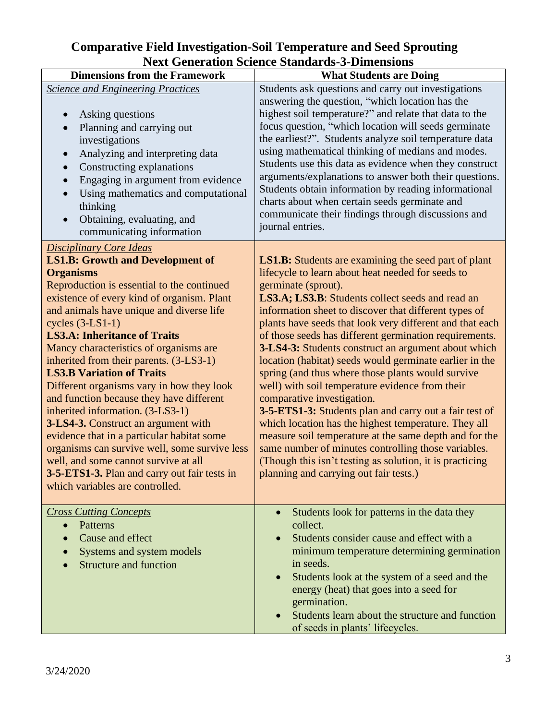#### **Comparative Field Investigation-Soil Temperature and Seed Sprouting Next Generation Science Standards-3-Dimensions**

| <b>Dimensions from the Framework</b>                                                                                                                                                                                                                                                                                                                                                                                                                                                                                                                                                                                                                                                                                                                                                                                      | <b>What Students are Doing</b>                                                                                                                                                                                                                                                                                                                                                                                                                                                                                                                                                                                                                                                                                                                                                                                                                                                                                                                                              |
|---------------------------------------------------------------------------------------------------------------------------------------------------------------------------------------------------------------------------------------------------------------------------------------------------------------------------------------------------------------------------------------------------------------------------------------------------------------------------------------------------------------------------------------------------------------------------------------------------------------------------------------------------------------------------------------------------------------------------------------------------------------------------------------------------------------------------|-----------------------------------------------------------------------------------------------------------------------------------------------------------------------------------------------------------------------------------------------------------------------------------------------------------------------------------------------------------------------------------------------------------------------------------------------------------------------------------------------------------------------------------------------------------------------------------------------------------------------------------------------------------------------------------------------------------------------------------------------------------------------------------------------------------------------------------------------------------------------------------------------------------------------------------------------------------------------------|
| <b>Science and Engineering Practices</b><br>Asking questions<br>Planning and carrying out<br>investigations<br>Analyzing and interpreting data<br>$\bullet$<br>Constructing explanations<br>$\bullet$<br>Engaging in argument from evidence<br>Using mathematics and computational<br>thinking<br>Obtaining, evaluating, and<br>$\bullet$<br>communicating information                                                                                                                                                                                                                                                                                                                                                                                                                                                    | Students ask questions and carry out investigations<br>answering the question, "which location has the<br>highest soil temperature?" and relate that data to the<br>focus question, "which location will seeds germinate<br>the earliest?". Students analyze soil temperature data<br>using mathematical thinking of medians and modes.<br>Students use this data as evidence when they construct<br>arguments/explanations to answer both their questions.<br>Students obtain information by reading informational<br>charts about when certain seeds germinate and<br>communicate their findings through discussions and<br>journal entries.                                                                                                                                                                                                                                                                                                                              |
| <b>Disciplinary Core Ideas</b><br><b>LS1.B: Growth and Development of</b><br><b>Organisms</b><br>Reproduction is essential to the continued<br>existence of every kind of organism. Plant<br>and animals have unique and diverse life<br>cycles $(3-LS1-1)$<br><b>LS3.A: Inheritance of Traits</b><br>Mancy characteristics of organisms are<br>inherited from their parents. (3-LS3-1)<br><b>LS3.B Variation of Traits</b><br>Different organisms vary in how they look<br>and function because they have different<br>inherited information. (3-LS3-1)<br>3-LS4-3. Construct an argument with<br>evidence that in a particular habitat some<br>organisms can survive well, some survive less<br>well, and some cannot survive at all<br>3-5-ETS1-3. Plan and carry out fair tests in<br>which variables are controlled. | <b>LS1.B:</b> Students are examining the seed part of plant<br>lifecycle to learn about heat needed for seeds to<br>germinate (sprout).<br>LS3.A; LS3.B: Students collect seeds and read an<br>information sheet to discover that different types of<br>plants have seeds that look very different and that each<br>of those seeds has different germination requirements.<br>3-LS4-3: Students construct an argument about which<br>location (habitat) seeds would germinate earlier in the<br>spring (and thus where those plants would survive<br>well) with soil temperature evidence from their<br>comparative investigation.<br>3-5-ETS1-3: Students plan and carry out a fair test of<br>which location has the highest temperature. They all<br>measure soil temperature at the same depth and for the<br>same number of minutes controlling those variables.<br>(Though this isn't testing as solution, it is practicing<br>planning and carrying out fair tests.) |
| <b>Cross Cutting Concepts</b><br>Patterns<br>$\bullet$<br>Cause and effect<br>Systems and system models<br><b>Structure and function</b>                                                                                                                                                                                                                                                                                                                                                                                                                                                                                                                                                                                                                                                                                  | Students look for patterns in the data they<br>$\bullet$<br>collect.<br>Students consider cause and effect with a<br>minimum temperature determining germination<br>in seeds.<br>Students look at the system of a seed and the<br>$\bullet$<br>energy (heat) that goes into a seed for<br>germination.<br>Students learn about the structure and function<br>of seeds in plants' lifecycles.                                                                                                                                                                                                                                                                                                                                                                                                                                                                                                                                                                                |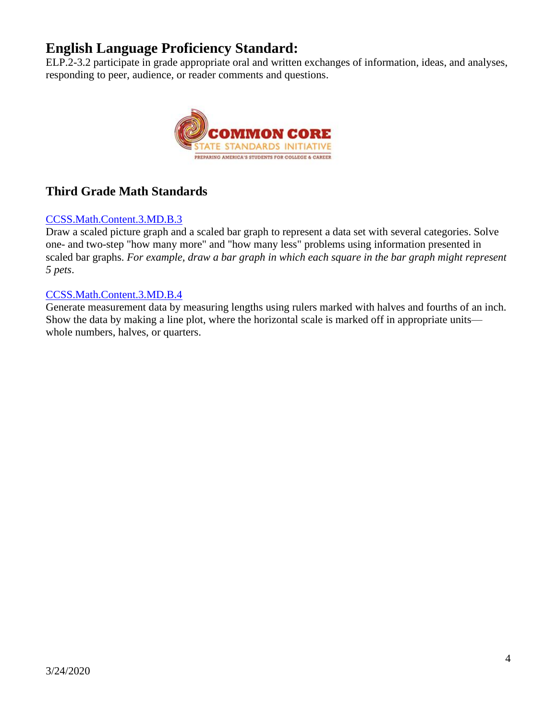## **English Language Proficiency Standard:**

ELP.2-3.2 participate in grade appropriate oral and written exchanges of information, ideas, and analyses, responding to peer, audience, or reader comments and questions.



## **Third Grade Math Standards**

#### CCSS.Math.Content.3.MD.B.3

Draw a scaled picture graph and a scaled bar graph to represent a data set with several categories. Solve one- and two-step "how many more" and "how many less" problems using information presented in scaled bar graphs. *For example, draw a bar graph in which each square in the bar graph might represent 5 pets*.

#### CCSS.Math.Content.3.MD.B.4

Generate measurement data by measuring lengths using rulers marked with halves and fourths of an inch. Show the data by making a line plot, where the horizontal scale is marked off in appropriate units whole numbers, halves, or quarters.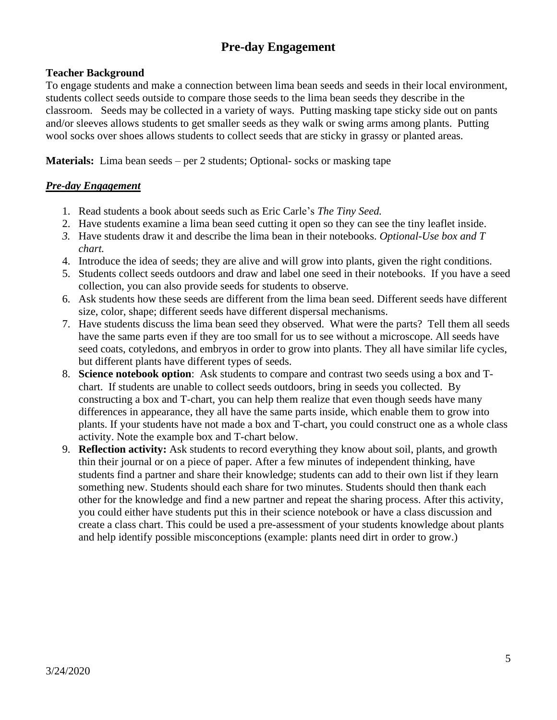## **Pre-day Engagement**

#### **Teacher Background**

To engage students and make a connection between lima bean seeds and seeds in their local environment, students collect seeds outside to compare those seeds to the lima bean seeds they describe in the classroom. Seeds may be collected in a variety of ways. Putting masking tape sticky side out on pants and/or sleeves allows students to get smaller seeds as they walk or swing arms among plants. Putting wool socks over shoes allows students to collect seeds that are sticky in grassy or planted areas.

**Materials:** Lima bean seeds – per 2 students; Optional- socks or masking tape

#### *Pre-day Engagement*

- 1. Read students a book about seeds such as Eric Carle's *The Tiny Seed.*
- 2. Have students examine a lima bean seed cutting it open so they can see the tiny leaflet inside.
- *3.* Have students draw it and describe the lima bean in their notebooks. *Optional-Use box and T chart.*
- 4. Introduce the idea of seeds; they are alive and will grow into plants, given the right conditions.
- 5. Students collect seeds outdoors and draw and label one seed in their notebooks. If you have a seed collection, you can also provide seeds for students to observe.
- 6. Ask students how these seeds are different from the lima bean seed. Different seeds have different size, color, shape; different seeds have different dispersal mechanisms.
- 7. Have students discuss the lima bean seed they observed. What were the parts? Tell them all seeds have the same parts even if they are too small for us to see without a microscope. All seeds have seed coats, cotyledons, and embryos in order to grow into plants. They all have similar life cycles, but different plants have different types of seeds.
- 8. **Science notebook option**: Ask students to compare and contrast two seeds using a box and Tchart. If students are unable to collect seeds outdoors, bring in seeds you collected. By constructing a box and T-chart, you can help them realize that even though seeds have many differences in appearance, they all have the same parts inside, which enable them to grow into plants. If your students have not made a box and T-chart, you could construct one as a whole class activity. Note the example box and T-chart below.
- 9. **Reflection activity:** Ask students to record everything they know about soil, plants, and growth thin their journal or on a piece of paper. After a few minutes of independent thinking, have students find a partner and share their knowledge; students can add to their own list if they learn something new. Students should each share for two minutes. Students should then thank each other for the knowledge and find a new partner and repeat the sharing process. After this activity, you could either have students put this in their science notebook or have a class discussion and create a class chart. This could be used a pre-assessment of your students knowledge about plants and help identify possible misconceptions (example: plants need dirt in order to grow.)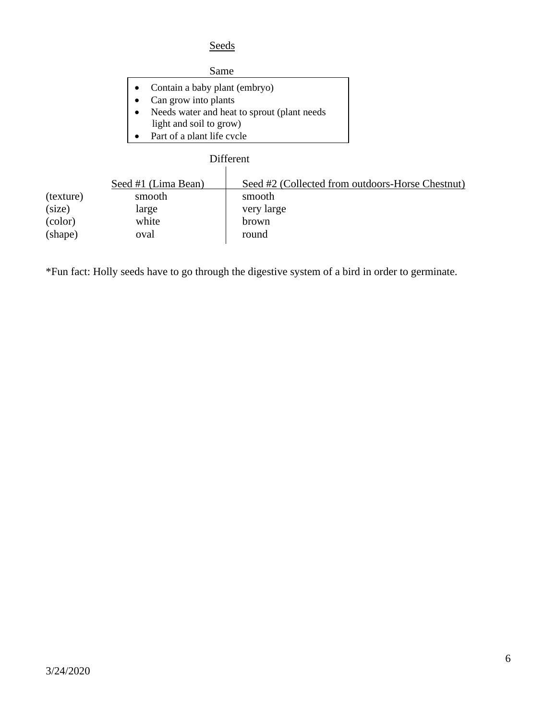#### **Seeds**

#### Same

- Contain a baby plant (embryo)
- Can grow into plants
- Needs water and heat to sprout (plant needs
- light and soil to grow)
- Part of a plant life cycle

# Different

| (texture)<br>(size)<br>(color) | Seed #1 (Lima Bean)<br>smooth<br>large<br>white | Seed #2 (Collected from outdoors-Horse Chestnut)<br>smooth<br>very large<br>brown |
|--------------------------------|-------------------------------------------------|-----------------------------------------------------------------------------------|
|                                |                                                 |                                                                                   |
| (shape)                        | oval                                            | round                                                                             |
|                                |                                                 |                                                                                   |

\*Fun fact: Holly seeds have to go through the digestive system of a bird in order to germinate.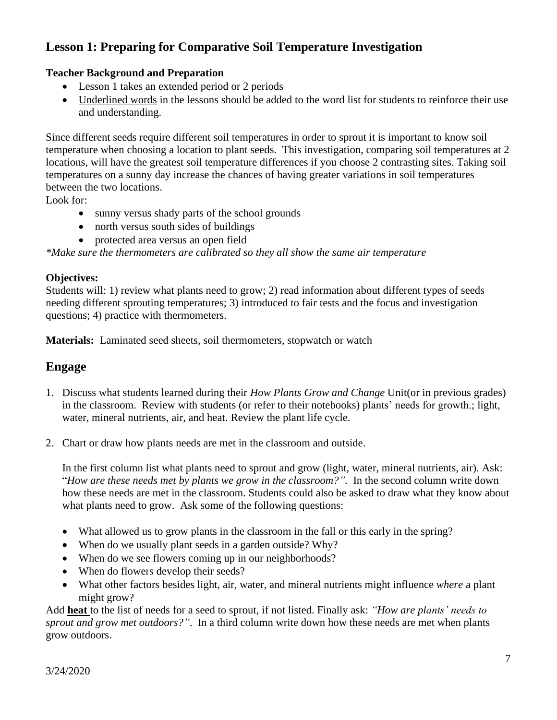## **Lesson 1: Preparing for Comparative Soil Temperature Investigation**

#### **Teacher Background and Preparation**

- Lesson 1 takes an extended period or 2 periods
- Underlined words in the lessons should be added to the word list for students to reinforce their use and understanding.

Since different seeds require different soil temperatures in order to sprout it is important to know soil temperature when choosing a location to plant seeds. This investigation, comparing soil temperatures at 2 locations, will have the greatest soil temperature differences if you choose 2 contrasting sites. Taking soil temperatures on a sunny day increase the chances of having greater variations in soil temperatures between the two locations.

Look for:

- sunny versus shady parts of the school grounds
- north versus south sides of buildings
- protected area versus an open field

*\*Make sure the thermometers are calibrated so they all show the same air temperature*

#### **Objectives:**

Students will: 1) review what plants need to grow; 2) read information about different types of seeds needing different sprouting temperatures; 3) introduced to fair tests and the focus and investigation questions; 4) practice with thermometers.

**Materials:** Laminated seed sheets, soil thermometers, stopwatch or watch

#### **Engage**

- 1. Discuss what students learned during their *How Plants Grow and Change* Unit(or in previous grades) in the classroom. Review with students (or refer to their notebooks) plants' needs for growth.; light, water, mineral nutrients, air, and heat. Review the plant life cycle.
- 2. Chart or draw how plants needs are met in the classroom and outside.

In the first column list what plants need to sprout and grow (light, water, mineral nutrients, air). Ask: "*How are these needs met by plants we grow in the classroom?".* In the second column write down how these needs are met in the classroom. Students could also be asked to draw what they know about what plants need to grow. Ask some of the following questions:

- What allowed us to grow plants in the classroom in the fall or this early in the spring?
- When do we usually plant seeds in a garden outside? Why?
- When do we see flowers coming up in our neighborhoods?
- When do flowers develop their seeds?
- What other factors besides light, air, water, and mineral nutrients might influence *where* a plant might grow?

Add **heat** to the list of needs for a seed to sprout, if not listed. Finally ask: *"How are plants' needs to sprout and grow met outdoors?"*. In a third column write down how these needs are met when plants grow outdoors.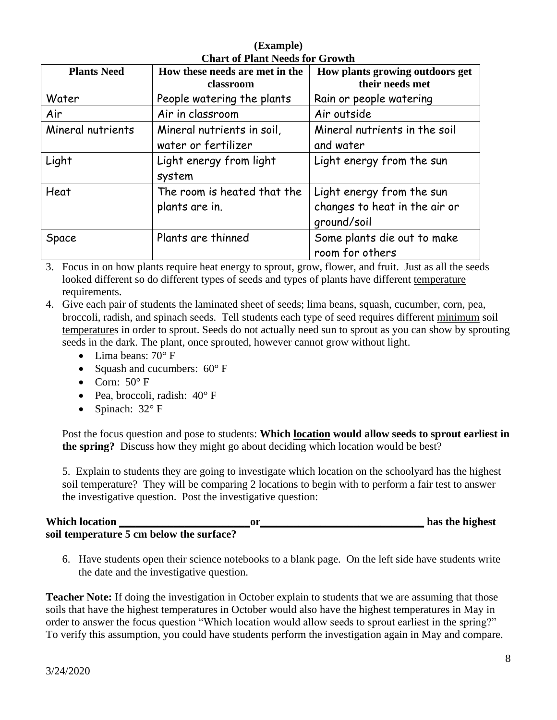| <b>Plants Need</b> | How these needs are met in the<br>classroom | How plants growing outdoors get<br>their needs met |
|--------------------|---------------------------------------------|----------------------------------------------------|
| Water              | People watering the plants                  | Rain or people watering                            |
| Air                | Air in classroom                            | Air outside                                        |
| Mineral nutrients  | Mineral nutrients in soil,                  | Mineral nutrients in the soil                      |
|                    | water or fertilizer                         | and water                                          |
| Light              | Light energy from light                     | Light energy from the sun                          |
|                    | system                                      |                                                    |
| Heat               | The room is heated that the                 | Light energy from the sun                          |
|                    | plants are in.                              | changes to heat in the air or<br>ground/soil       |
| Space              | Plants are thinned                          | Some plants die out to make<br>room for others     |

**(Example) Chart of Plant Needs for Growth**

3. Focus in on how plants require heat energy to sprout, grow, flower, and fruit. Just as all the seeds looked different so do different types of seeds and types of plants have different temperature requirements.

4. Give each pair of students the laminated sheet of seeds; lima beans, squash, cucumber, corn, pea, broccoli, radish, and spinach seeds. Tell students each type of seed requires different minimum soil temperatures in order to sprout. Seeds do not actually need sun to sprout as you can show by sprouting seeds in the dark. The plant, once sprouted, however cannot grow without light.

- Lima beans: 70° F
- Squash and cucumbers:  $60^{\circ}$  F
- Corn:  $50^{\circ}$  F
- Pea, broccoli, radish:  $40^{\circ}$  F
- Spinach: 32° F

Post the focus question and pose to students: **Which location would allow seeds to sprout earliest in the spring?** Discuss how they might go about deciding which location would be best?

5. Explain to students they are going to investigate which location on the schoolyard has the highest soil temperature? They will be comparing 2 locations to begin with to perform a fair test to answer the investigative question. Post the investigative question:

| <b>Which location</b> |                                          |  | has the highest |
|-----------------------|------------------------------------------|--|-----------------|
|                       | soil temperature 5 cm below the surface? |  |                 |

6. Have students open their science notebooks to a blank page. On the left side have students write the date and the investigative question.

**Teacher Note:** If doing the investigation in October explain to students that we are assuming that those soils that have the highest temperatures in October would also have the highest temperatures in May in order to answer the focus question "Which location would allow seeds to sprout earliest in the spring?" To verify this assumption, you could have students perform the investigation again in May and compare.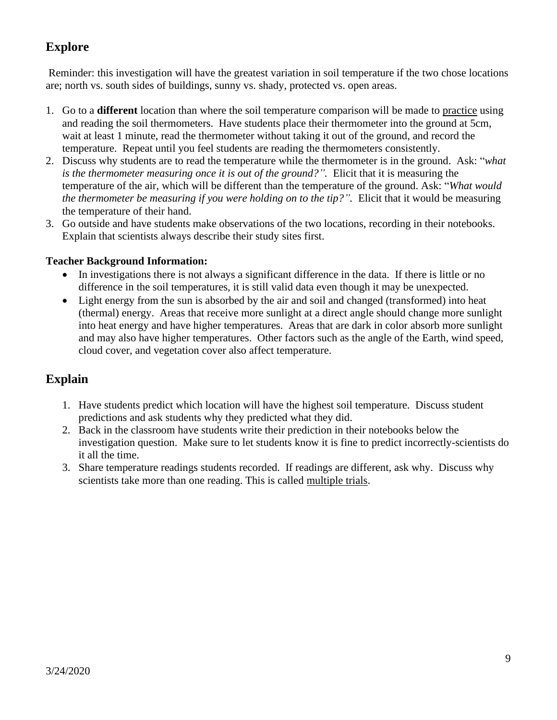## **Explore**

Reminder: this investigation will have the greatest variation in soil temperature if the two chose locations are; north vs. south sides of buildings, sunny vs. shady, protected vs. open areas.

- 1. Go to a **different** location than where the soil temperature comparison will be made to practice using and reading the soil thermometers. Have students place their thermometer into the ground at 5cm, wait at least 1 minute, read the thermometer without taking it out of the ground, and record the temperature. Repeat until you feel students are reading the thermometers consistently.
- 2. Discuss why students are to read the temperature while the thermometer is in the ground. Ask: "*what is the thermometer measuring once it is out of the ground?".* Elicit that it is measuring the temperature of the air, which will be different than the temperature of the ground. Ask: "*What would the thermometer be measuring if you were holding on to the tip?".* Elicit that it would be measuring the temperature of their hand.
- 3. Go outside and have students make observations of the two locations, recording in their notebooks. Explain that scientists always describe their study sites first.

#### **Teacher Background Information:**

- In investigations there is not always a significant difference in the data. If there is little or no difference in the soil temperatures, it is still valid data even though it may be unexpected.
- Light energy from the sun is absorbed by the air and soil and changed (transformed) into heat (thermal) energy. Areas that receive more sunlight at a direct angle should change more sunlight into heat energy and have higher temperatures. Areas that are dark in color absorb more sunlight and may also have higher temperatures. Other factors such as the angle of the Earth, wind speed, cloud cover, and vegetation cover also affect temperature.

### **Explain**

- 1. Have students predict which location will have the highest soil temperature. Discuss student predictions and ask students why they predicted what they did.
- 2. Back in the classroom have students write their prediction in their notebooks below the investigation question. Make sure to let students know it is fine to predict incorrectly-scientists do it all the time.
- 3. Share temperature readings students recorded. If readings are different, ask why. Discuss why scientists take more than one reading. This is called multiple trials.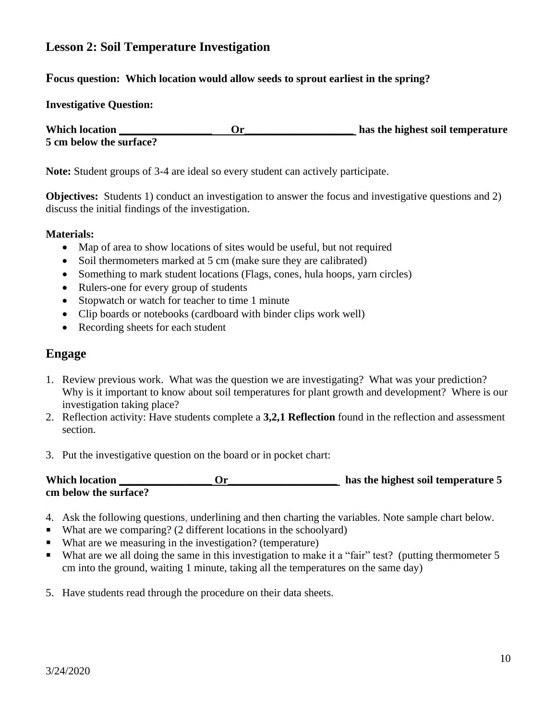### **Lesson 2: Soil Temperature Investigation**

#### **Focus question: Which location would allow seeds to sprout earliest in the spring?**

#### **Investigative Question:**

**Which location \_\_\_\_\_\_\_\_\_\_\_\_\_\_\_\_\_ Or\_\_\_\_\_\_\_\_\_\_\_\_\_\_\_\_\_\_\_\_ has the highest soil temperature 5 cm below the surface?**

**Note:** Student groups of 3-4 are ideal so every student can actively participate.

**Objectives:** Students 1) conduct an investigation to answer the focus and investigative questions and 2) discuss the initial findings of the investigation.

#### **Materials:**

- Map of area to show locations of sites would be useful, but not required
- Soil thermometers marked at 5 cm (make sure they are calibrated)
- Something to mark student locations (Flags, cones, hula hoops, yarn circles)
- Rulers-one for every group of students
- Stopwatch or watch for teacher to time 1 minute
- Clip boards or notebooks (cardboard with binder clips work well)
- Recording sheets for each student

#### **Engage**

- 1. Review previous work. What was the question we are investigating? What was your prediction? Why is it important to know about soil temperatures for plant growth and development? Where is our investigation taking place?
- 2. Reflection activity: Have students complete a **3,2,1 Reflection** found in the reflection and assessment section.
- 3. Put the investigative question on the board or in pocket chart:

| <b>Which location</b> | has the highest soil temperature 5 |
|-----------------------|------------------------------------|
| cm below the surface? |                                    |

- 4. Ask the following questions, underlining and then charting the variables. Note sample chart below.
- $\blacksquare$  What are we comparing? (2 different locations in the schoolyard)
- What are we measuring in the investigation? (temperature)
- What are we all doing the same in this investigation to make it a "fair" test? (putting thermometer 5 cm into the ground, waiting 1 minute, taking all the temperatures on the same day)
- 5. Have students read through the procedure on their data sheets.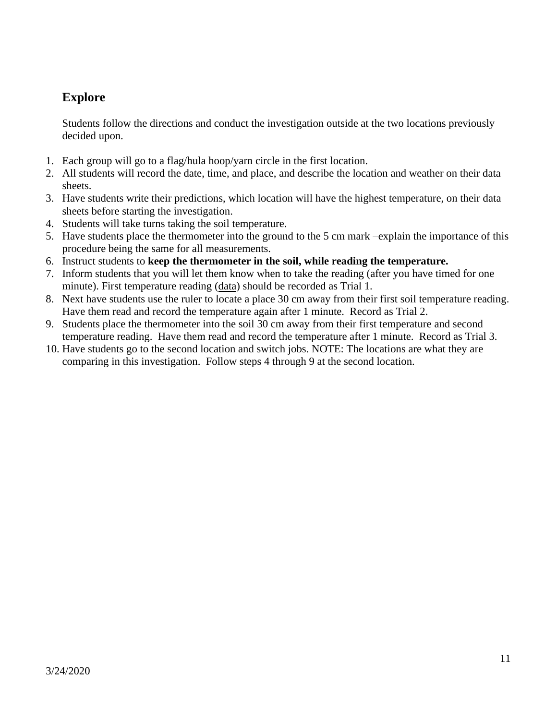## **Explore**

Students follow the directions and conduct the investigation outside at the two locations previously decided upon.

- 1. Each group will go to a flag/hula hoop/yarn circle in the first location.
- 2. All students will record the date, time, and place, and describe the location and weather on their data sheets.
- 3. Have students write their predictions, which location will have the highest temperature, on their data sheets before starting the investigation.
- 4. Students will take turns taking the soil temperature.
- 5. Have students place the thermometer into the ground to the 5 cm mark –explain the importance of this procedure being the same for all measurements.
- 6. Instruct students to **keep the thermometer in the soil, while reading the temperature.**
- 7. Inform students that you will let them know when to take the reading (after you have timed for one minute). First temperature reading (data) should be recorded as Trial 1.
- 8. Next have students use the ruler to locate a place 30 cm away from their first soil temperature reading. Have them read and record the temperature again after 1 minute. Record as Trial 2.
- 9. Students place the thermometer into the soil 30 cm away from their first temperature and second temperature reading. Have them read and record the temperature after 1 minute. Record as Trial 3.
- 10. Have students go to the second location and switch jobs. NOTE: The locations are what they are comparing in this investigation. Follow steps 4 through 9 at the second location.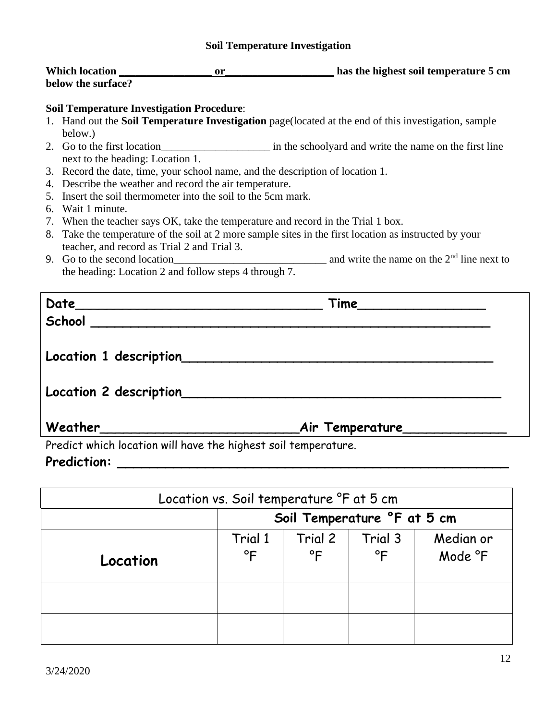#### **Soil Temperature Investigation**

| <b>Which location</b> | has the highest soil temperature 5 cm |
|-----------------------|---------------------------------------|
| below the surface?    |                                       |

#### **Soil Temperature Investigation Procedure**:

- 1. Hand out the **Soil Temperature Investigation** page(located at the end of this investigation, sample below.)
- 2. Go to the first location\_\_\_\_\_\_\_\_\_\_\_\_\_\_\_\_\_\_\_\_ in the schoolyard and write the name on the first line next to the heading: Location 1.
- 3. Record the date, time, your school name, and the description of location 1.
- 4. Describe the weather and record the air temperature.
- 5. Insert the soil thermometer into the soil to the 5cm mark.
- 6. Wait 1 minute.
- 7. When the teacher says OK, take the temperature and record in the Trial 1 box.
- 8. Take the temperature of the soil at 2 more sample sites in the first location as instructed by your teacher, and record as Trial 2 and Trial 3.
- 9. Go to the second location and write the name on the  $2<sup>nd</sup>$  line next to the heading: Location 2 and follow steps 4 through 7.

|                                                                                                                                                                                                                                                                                                                                                                                                                                                          | Time                            |
|----------------------------------------------------------------------------------------------------------------------------------------------------------------------------------------------------------------------------------------------------------------------------------------------------------------------------------------------------------------------------------------------------------------------------------------------------------|---------------------------------|
| School                                                                                                                                                                                                                                                                                                                                                                                                                                                   |                                 |
|                                                                                                                                                                                                                                                                                                                                                                                                                                                          |                                 |
|                                                                                                                                                                                                                                                                                                                                                                                                                                                          |                                 |
|                                                                                                                                                                                                                                                                                                                                                                                                                                                          |                                 |
|                                                                                                                                                                                                                                                                                                                                                                                                                                                          |                                 |
|                                                                                                                                                                                                                                                                                                                                                                                                                                                          |                                 |
|                                                                                                                                                                                                                                                                                                                                                                                                                                                          | _Air Temperature_______________ |
| $\mathcal{L} = \{ \mathbf{1}, \mathbf{1}, \mathbf{1}, \mathbf{1}, \mathbf{1}, \mathbf{1}, \mathbf{1}, \mathbf{1}, \mathbf{1}, \mathbf{1}, \mathbf{1}, \mathbf{1}, \mathbf{1}, \mathbf{1}, \mathbf{1}, \mathbf{1}, \mathbf{1}, \mathbf{1}, \mathbf{1}, \mathbf{1}, \mathbf{1}, \mathbf{1}, \mathbf{1}, \mathbf{1}, \mathbf{1}, \mathbf{1}, \mathbf{1}, \mathbf{1}, \mathbf{1}, \mathbf{1}, \mathbf{1}, \mathbf{1}, \mathbf{1}, \mathbf{1}, \mathbf{1}, \$ |                                 |

Predict which location will have the highest soil temperature.

## **Prediction: \_\_\_\_\_\_\_\_\_\_\_\_\_\_\_\_\_\_\_\_\_\_\_\_\_\_\_\_\_\_\_\_\_\_\_\_\_\_\_\_\_\_\_\_\_\_\_\_\_**

| Location vs. Soil temperature <sup>o</sup> F at 5 cm |                             |                         |                         |                      |
|------------------------------------------------------|-----------------------------|-------------------------|-------------------------|----------------------|
|                                                      | Soil Temperature °F at 5 cm |                         |                         |                      |
| Location                                             | Trial 1<br>$^{\circ}$ F     | Trial 2<br>$^{\circ}$ F | Trial 3<br>$^{\circ}$ F | Median or<br>Mode °F |
|                                                      |                             |                         |                         |                      |
|                                                      |                             |                         |                         |                      |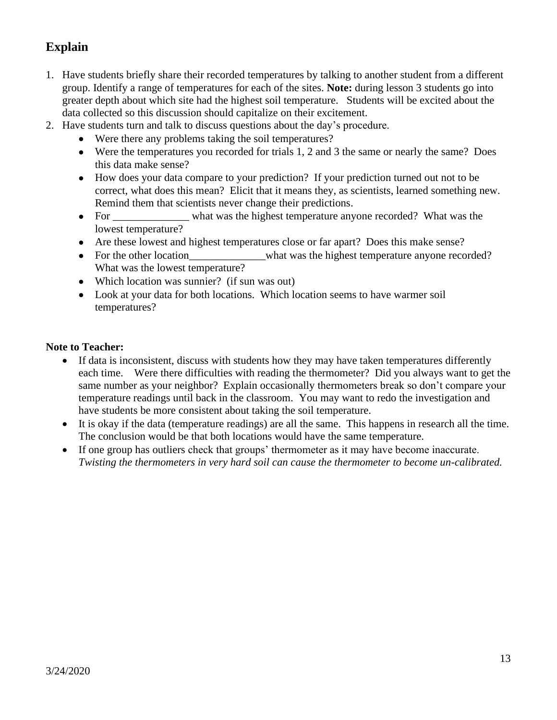## **Explain**

- 1. Have students briefly share their recorded temperatures by talking to another student from a different group. Identify a range of temperatures for each of the sites. **Note:** during lesson 3 students go into greater depth about which site had the highest soil temperature. Students will be excited about the data collected so this discussion should capitalize on their excitement.
- 2. Have students turn and talk to discuss questions about the day's procedure.
	- Were there any problems taking the soil temperatures?
	- Were the temperatures you recorded for trials 1, 2 and 3 the same or nearly the same? Does this data make sense?
	- How does your data compare to your prediction? If your prediction turned out not to be correct, what does this mean? Elicit that it means they, as scientists, learned something new. Remind them that scientists never change their predictions.
	- For what was the highest temperature anyone recorded? What was the lowest temperature?
	- Are these lowest and highest temperatures close or far apart? Does this make sense?
	- For the other location what was the highest temperature anyone recorded? What was the lowest temperature?
	- Which location was sunnier? (if sun was out)
	- Look at your data for both locations. Which location seems to have warmer soil temperatures?

#### **Note to Teacher:**

- If data is inconsistent, discuss with students how they may have taken temperatures differently each time. Were there difficulties with reading the thermometer? Did you always want to get the same number as your neighbor? Explain occasionally thermometers break so don't compare your temperature readings until back in the classroom. You may want to redo the investigation and have students be more consistent about taking the soil temperature.
- It is okay if the data (temperature readings) are all the same. This happens in research all the time. The conclusion would be that both locations would have the same temperature.
- If one group has outliers check that groups' thermometer as it may have become inaccurate. *Twisting the thermometers in very hard soil can cause the thermometer to become un-calibrated.*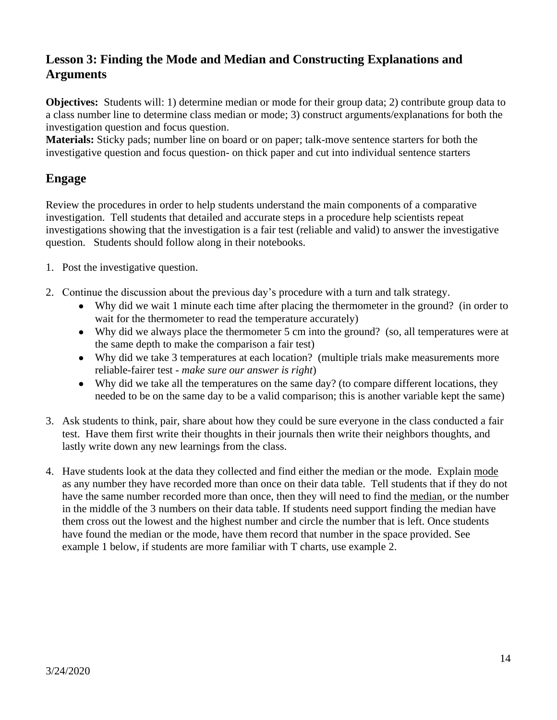## **Lesson 3: Finding the Mode and Median and Constructing Explanations and Arguments**

**Objectives:** Students will: 1) determine median or mode for their group data; 2) contribute group data to a class number line to determine class median or mode; 3) construct arguments/explanations for both the investigation question and focus question.

**Materials:** Sticky pads; number line on board or on paper; talk-move sentence starters for both the investigative question and focus question- on thick paper and cut into individual sentence starters

#### **Engage**

Review the procedures in order to help students understand the main components of a comparative investigation. Tell students that detailed and accurate steps in a procedure help scientists repeat investigations showing that the investigation is a fair test (reliable and valid) to answer the investigative question. Students should follow along in their notebooks.

- 1. Post the investigative question.
- 2. Continue the discussion about the previous day's procedure with a turn and talk strategy.
	- Why did we wait 1 minute each time after placing the thermometer in the ground? (in order to wait for the thermometer to read the temperature accurately)
	- Why did we always place the thermometer 5 cm into the ground? (so, all temperatures were at the same depth to make the comparison a fair test)
	- Why did we take 3 temperatures at each location? (multiple trials make measurements more reliable-fairer test - *make sure our answer is right*)
	- Why did we take all the temperatures on the same day? (to compare different locations, they needed to be on the same day to be a valid comparison; this is another variable kept the same)
- 3. Ask students to think, pair, share about how they could be sure everyone in the class conducted a fair test. Have them first write their thoughts in their journals then write their neighbors thoughts, and lastly write down any new learnings from the class.
- 4. Have students look at the data they collected and find either the median or the mode. Explain mode as any number they have recorded more than once on their data table. Tell students that if they do not have the same number recorded more than once, then they will need to find the median, or the number in the middle of the 3 numbers on their data table. If students need support finding the median have them cross out the lowest and the highest number and circle the number that is left. Once students have found the median or the mode, have them record that number in the space provided. See example 1 below, if students are more familiar with T charts, use example 2.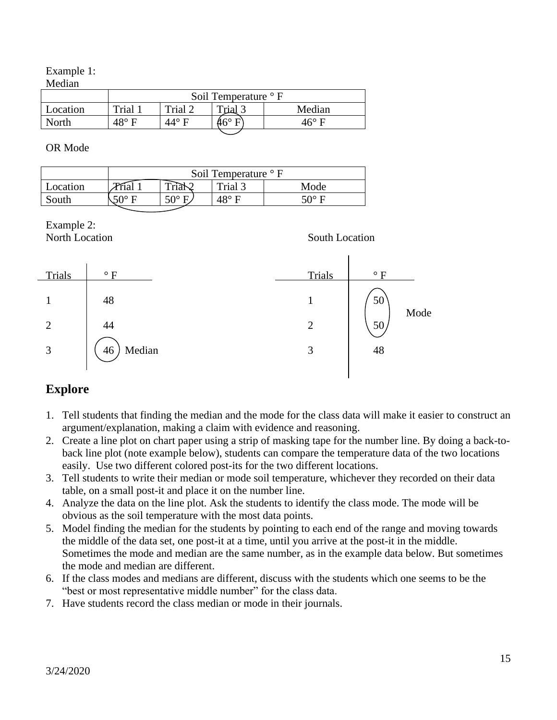Example 1:

| Median |
|--------|
|--------|

|          | Soil Temperature <sup>o</sup> F |         |              |              |
|----------|---------------------------------|---------|--------------|--------------|
| Location | Trial 1                         | Trial 2 | Trial 3      | Median       |
| North    | 48° E                           | 44° E   | $46^{\circ}$ | $16^\circ$ F |
|          |                                 |         |              |              |

OR Mode

|          | Soil Temperature $\circ$ F        |              |         |      |
|----------|-----------------------------------|--------------|---------|------|
| Location | $\mathcal{P}_{\mathcal{F}_{1,2}}$ | m            | Trial 3 | Mode |
| South    | EN0.                              | $50^{\circ}$ | 10° E   | ເ∩∘  |

# Example 2:



## **Explore**

- 1. Tell students that finding the median and the mode for the class data will make it easier to construct an argument/explanation, making a claim with evidence and reasoning.
- 2. Create a line plot on chart paper using a strip of masking tape for the number line. By doing a back-toback line plot (note example below), students can compare the temperature data of the two locations easily. Use two different colored post-its for the two different locations.
- 3. Tell students to write their median or mode soil temperature, whichever they recorded on their data table, on a small post-it and place it on the number line.
- 4. Analyze the data on the line plot. Ask the students to identify the class mode. The mode will be obvious as the soil temperature with the most data points.
- 5. Model finding the median for the students by pointing to each end of the range and moving towards the middle of the data set, one post-it at a time, until you arrive at the post-it in the middle. Sometimes the mode and median are the same number, as in the example data below. But sometimes the mode and median are different.
- 6. If the class modes and medians are different, discuss with the students which one seems to be the "best or most representative middle number" for the class data.
- 7. Have students record the class median or mode in their journals.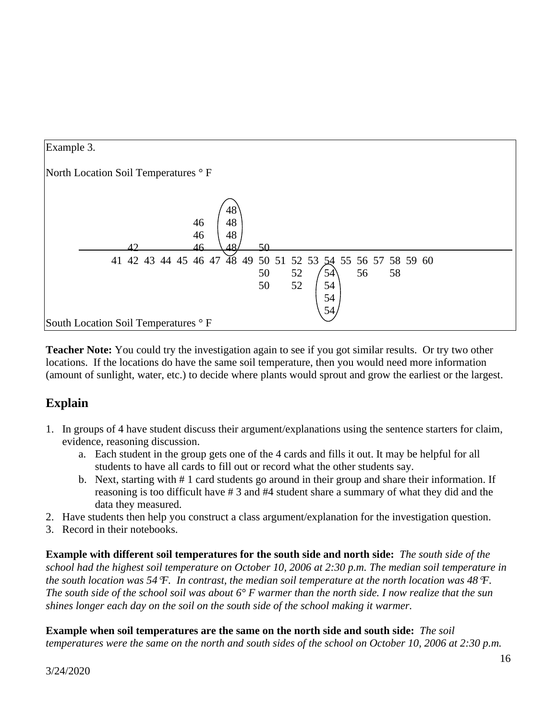

**Teacher Note:** You could try the investigation again to see if you got similar results. Or try two other locations. If the locations do have the same soil temperature, then you would need more information (amount of sunlight, water, etc.) to decide where plants would sprout and grow the earliest or the largest.

### **Explain**

- 1. In groups of 4 have student discuss their argument/explanations using the sentence starters for claim, evidence, reasoning discussion.
	- a. Each student in the group gets one of the 4 cards and fills it out. It may be helpful for all students to have all cards to fill out or record what the other students say.
	- b. Next, starting with # 1 card students go around in their group and share their information. If reasoning is too difficult have # 3 and #4 student share a summary of what they did and the data they measured.
- 2. Have students then help you construct a class argument/explanation for the investigation question.
- 3. Record in their notebooks.

**Example with different soil temperatures for the south side and north side:** *The south side of the school had the highest soil temperature on October 10, 2006 at 2:30 p.m. The median soil temperature in the south location was 54F. In contrast, the median soil temperature at the north location was 48F. The south side of the school soil was about 6° F warmer than the north side. I now realize that the sun shines longer each day on the soil on the south side of the school making it warmer.*

**Example when soil temperatures are the same on the north side and south side:** *The soil temperatures were the same on the north and south sides of the school on October 10, 2006 at 2:30 p.m.*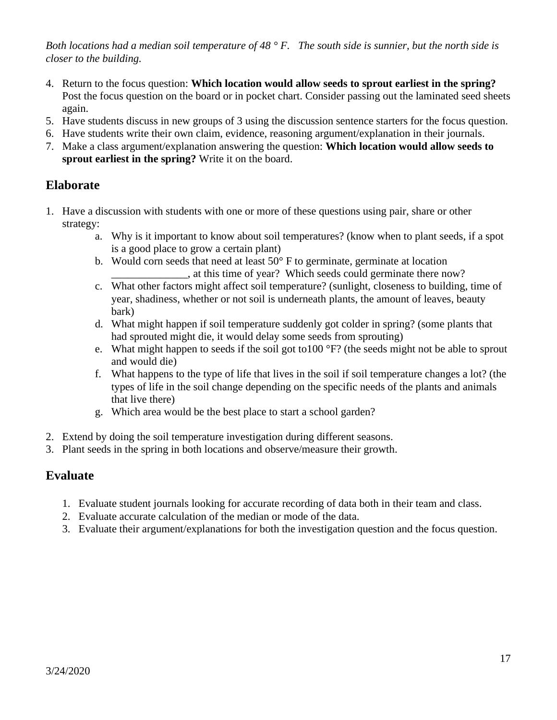*Both locations had a median soil temperature of 48 ° F. The south side is sunnier, but the north side is closer to the building.*

- 4. Return to the focus question: **Which location would allow seeds to sprout earliest in the spring?** Post the focus question on the board or in pocket chart. Consider passing out the laminated seed sheets again.
- 5. Have students discuss in new groups of 3 using the discussion sentence starters for the focus question.
- 6. Have students write their own claim, evidence, reasoning argument/explanation in their journals.
- 7. Make a class argument/explanation answering the question: **Which location would allow seeds to sprout earliest in the spring?** Write it on the board.

#### **Elaborate**

- 1. Have a discussion with students with one or more of these questions using pair, share or other strategy:
	- a. Why is it important to know about soil temperatures? (know when to plant seeds, if a spot is a good place to grow a certain plant)
	- b. Would corn seeds that need at least  $50^{\circ}$  F to germinate, germinate at location \_\_\_\_\_\_\_\_\_\_\_\_\_\_, at this time of year? Which seeds could germinate there now?
	- c. What other factors might affect soil temperature? (sunlight, closeness to building, time of year, shadiness, whether or not soil is underneath plants, the amount of leaves, beauty bark)
	- d. What might happen if soil temperature suddenly got colder in spring? (some plants that had sprouted might die, it would delay some seeds from sprouting)
	- e. What might happen to seeds if the soil got to100 °F? (the seeds might not be able to sprout and would die)
	- f. What happens to the type of life that lives in the soil if soil temperature changes a lot? (the types of life in the soil change depending on the specific needs of the plants and animals that live there)
	- g. Which area would be the best place to start a school garden?
- 2. Extend by doing the soil temperature investigation during different seasons.
- 3. Plant seeds in the spring in both locations and observe/measure their growth.

### **Evaluate**

- 1. Evaluate student journals looking for accurate recording of data both in their team and class.
- 2. Evaluate accurate calculation of the median or mode of the data.
- 3. Evaluate their argument/explanations for both the investigation question and the focus question.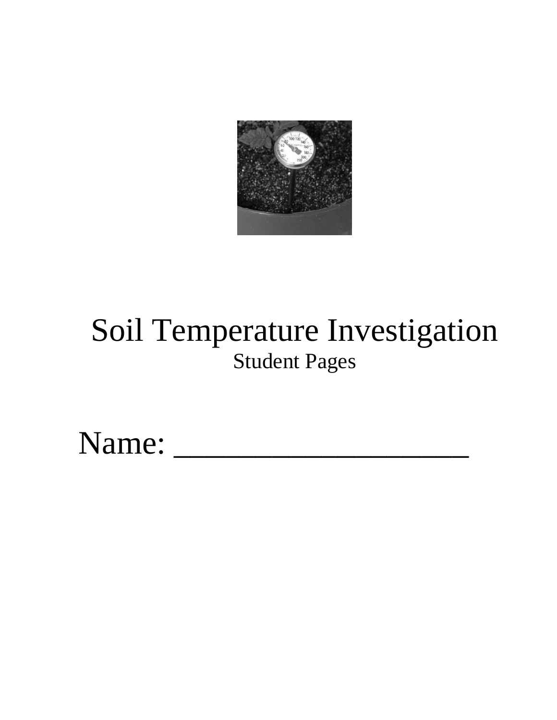

# Soil Temperature Investigation Student Pages

Name: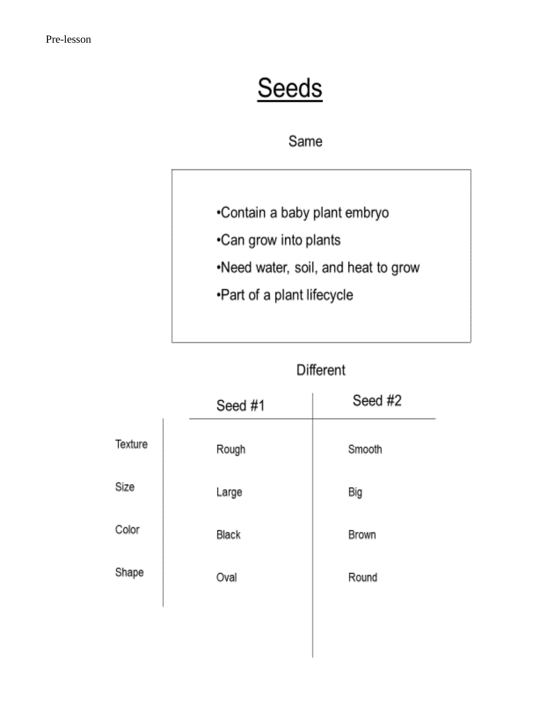# Seeds

## Same

- •Contain a baby plant embryo
- .Can grow into plants
- .Need water, soil, and heat to grow
- •Part of a plant lifecycle

## Different

|         | Seed #1 | Seed #2 |
|---------|---------|---------|
| Texture | Rough   | Smooth  |
| Size    | Large   | Big     |
| Color   | Black   | Brown   |
| Shape   | Oval    | Round   |
|         |         |         |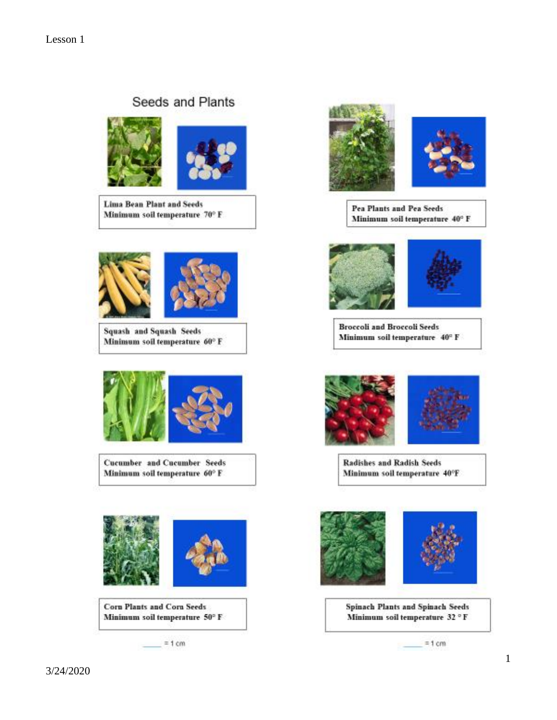## Seeds and Plants



**Lima Bean Plant and Seeds** Minimum soil temperature 70° F



**Squash and Squash Seeds** Minimum soil temperature 60° F



**Cucumber and Cucumber Seeds** Minimum soil temperature 60° F



Corn Plants and Corn Seeds Minimum soil temperature 50° F

 $= 1 cm$ 



**Pea Plants and Pea Seeds** Minimum soil temperature 40° F



**Broccoli and Broccoli Seeds** Minimum soil temperature 40° F





Radishes and Radish Seeds Minimum soil temperature 40°F





**Spinach Plants and Spinach Seeds** Minimum soil temperature 32 °F

 $= 1 cm$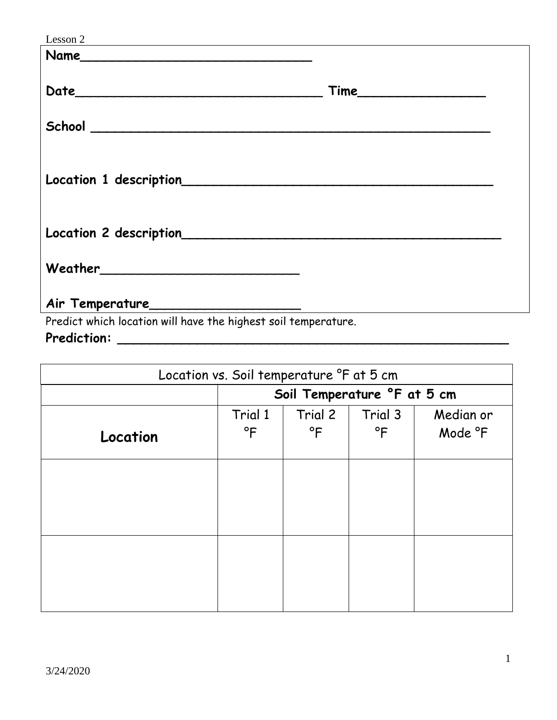| Lesson 2<br><u> 1980 - Johann Barbara, martxa alemaniar argametra (h. 1980).</u> |      |
|----------------------------------------------------------------------------------|------|
| Name                                                                             |      |
|                                                                                  |      |
|                                                                                  | Time |
|                                                                                  |      |
|                                                                                  |      |
|                                                                                  |      |
|                                                                                  |      |
| Location 1 description<br>Location 1 description                                 |      |
|                                                                                  |      |
|                                                                                  |      |
|                                                                                  |      |
|                                                                                  |      |
|                                                                                  |      |
|                                                                                  |      |
|                                                                                  |      |

Predict which location will have the highest soil temperature.

**Prediction: \_\_\_\_\_\_\_\_\_\_\_\_\_\_\_\_\_\_\_\_\_\_\_\_\_\_\_\_\_\_\_\_\_\_\_\_\_\_\_\_\_\_\_\_\_\_\_\_\_**

| Location vs. Soil temperature °F at 5 cm |                             |                         |                     |                      |  |
|------------------------------------------|-----------------------------|-------------------------|---------------------|----------------------|--|
|                                          | Soil Temperature °F at 5 cm |                         |                     |                      |  |
| Location                                 | Trial 1<br>$\mathsf{P}$     | Trial 2<br>$\mathsf{P}$ | Trial 3<br>$\Gamma$ | Median or<br>Mode °F |  |
|                                          |                             |                         |                     |                      |  |
|                                          |                             |                         |                     |                      |  |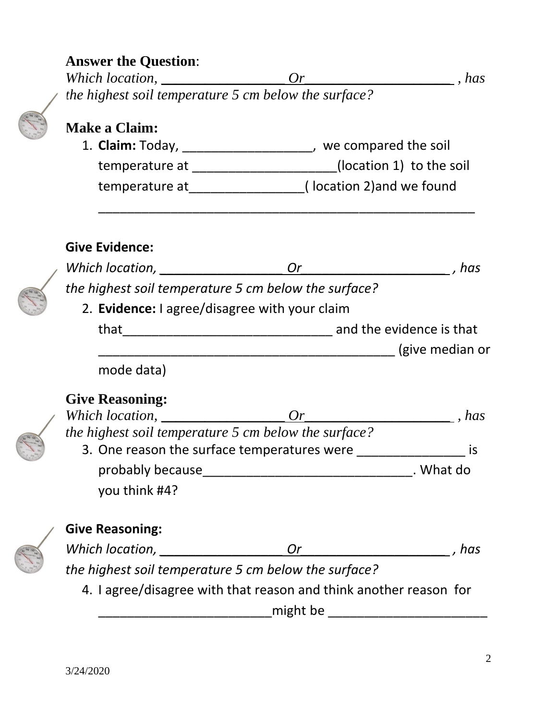## **Answer the Question**:

*Which location, \_\_\_\_\_\_\_\_\_\_\_\_\_\_\_\_\_ Or\_\_\_\_\_\_\_\_\_\_\_\_\_\_\_\_\_\_\_\_ , has the highest soil temperature 5 cm below the surface?*

## **Make a Claim:**

1. **Claim:** Today, \_\_\_\_\_\_\_\_\_\_\_\_\_\_\_\_\_\_, we compared the soil temperature at \_\_\_\_\_\_\_\_\_\_\_\_\_\_\_\_\_\_\_\_\_\_(location 1) to the soil temperature at\_\_\_\_\_\_\_\_\_\_\_\_\_\_\_\_( location 2)and we found

\_\_\_\_\_\_\_\_\_\_\_\_\_\_\_\_\_\_\_\_\_\_\_\_\_\_\_\_\_\_\_\_\_\_\_\_\_\_\_\_\_\_\_\_\_\_\_\_\_\_\_\_

## **Give Evidence:**

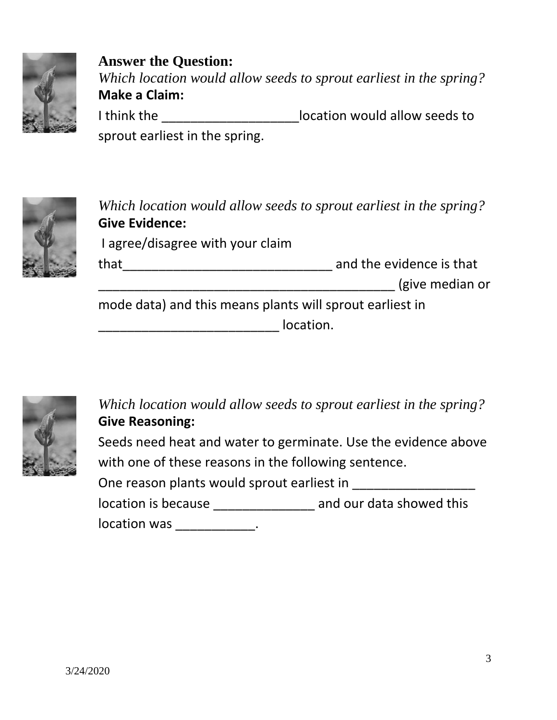

**Answer the Question:** *Which location would allow seeds to sprout earliest in the spring?* **Make a Claim:** I think the \_\_\_\_\_\_\_\_\_\_\_\_\_\_\_\_\_\_\_location would allow seeds to sprout earliest in the spring.



*Which location would allow seeds to sprout earliest in the spring?* **Give Evidence:** I agree/disagree with your claim that\_\_\_\_\_\_\_\_\_\_\_\_\_\_\_\_\_\_\_\_\_\_\_\_\_\_\_\_\_ and the evidence is that \_\_\_\_\_\_\_\_\_\_\_\_\_\_\_\_\_\_\_\_\_\_\_\_\_\_\_\_\_\_\_\_\_\_\_\_\_\_\_\_\_ (give median or mode data) and this means plants will sprout earliest in

\_\_\_\_\_\_\_\_\_\_\_\_\_\_\_\_\_\_\_\_\_\_\_\_\_ location.



*Which location would allow seeds to sprout earliest in the spring?* **Give Reasoning:**  Seeds need heat and water to germinate. Use the evidence above with one of these reasons in the following sentence. One reason plants would sprout earliest in \_\_\_\_\_\_\_\_\_\_\_\_\_\_\_\_\_ location is because \_\_\_\_\_\_\_\_\_\_\_\_\_\_\_\_ and our data showed this

location was \_\_\_\_\_\_\_\_\_\_\_\_.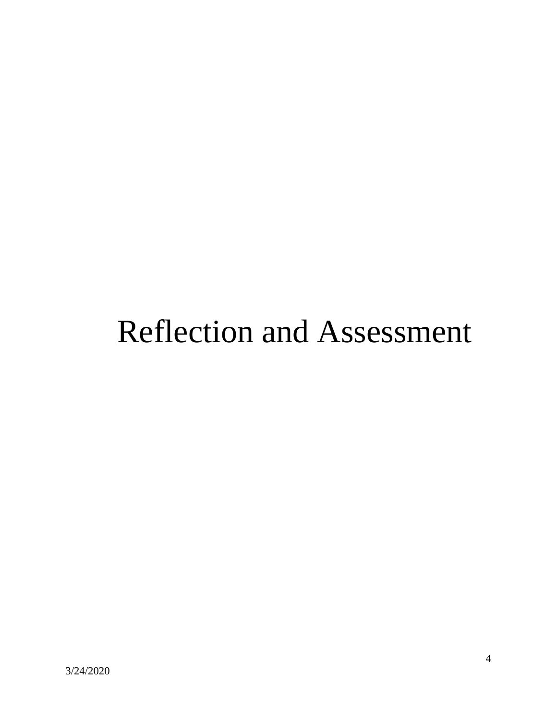# Reflection and Assessment